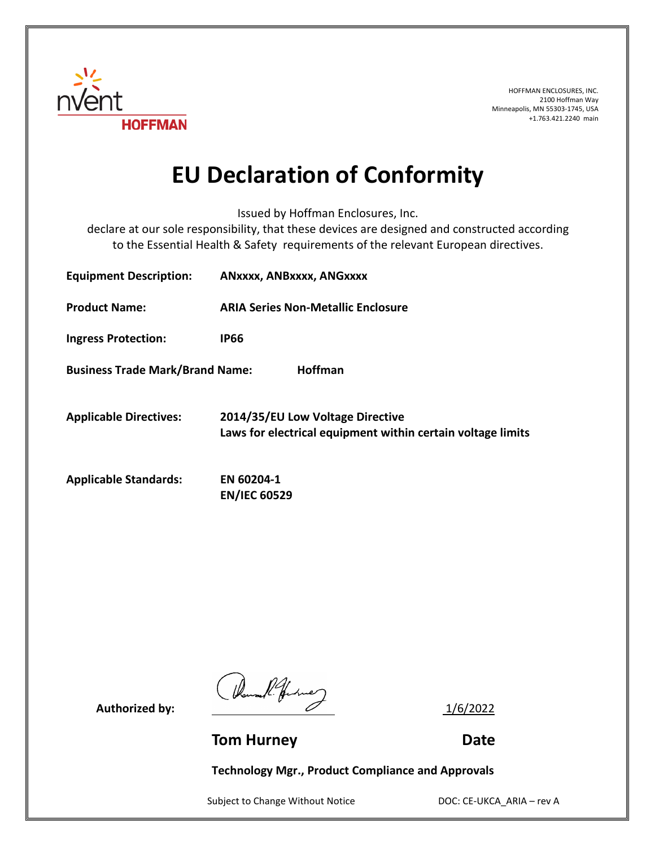

HOFFMAN ENCLOSURES, INC. 2100 Hoffman Way Minneapolis, MN 55303-1745, USA +1.763.421.2240 main

## **EU Declaration of Conformity**

Issued by Hoffman Enclosures, Inc.

declare at our sole responsibility, that these devices are designed and constructed according to the Essential Health & Safety requirements of the relevant European directives.

| <b>Equipment Description:</b>                            | ANXXXX, ANBXXXX, ANGXXXX                                                                        |
|----------------------------------------------------------|-------------------------------------------------------------------------------------------------|
| <b>Product Name:</b>                                     | <b>ARIA Series Non-Metallic Enclosure</b>                                                       |
| <b>Ingress Protection:</b>                               | <b>IP66</b>                                                                                     |
| <b>Business Trade Mark/Brand Name:</b><br><b>Hoffman</b> |                                                                                                 |
| <b>Applicable Directives:</b>                            | 2014/35/EU Low Voltage Directive<br>Laws for electrical equipment within certain voltage limits |
| <b>Applicable Standards:</b>                             | EN 60204-1<br><b>EN/IEC 60529</b>                                                               |

Authorized by:  $\frac{1}{6/2022}$ 

**Tom Hurney Communication Communication Communication Communication Communication Communication Communication Communication Communication Communication Communication Communication Communication Communication Communication** 

**Technology Mgr., Product Compliance and Approvals**

Subject to Change Without Notice DOC: CE-UKCA\_ARIA – rev A